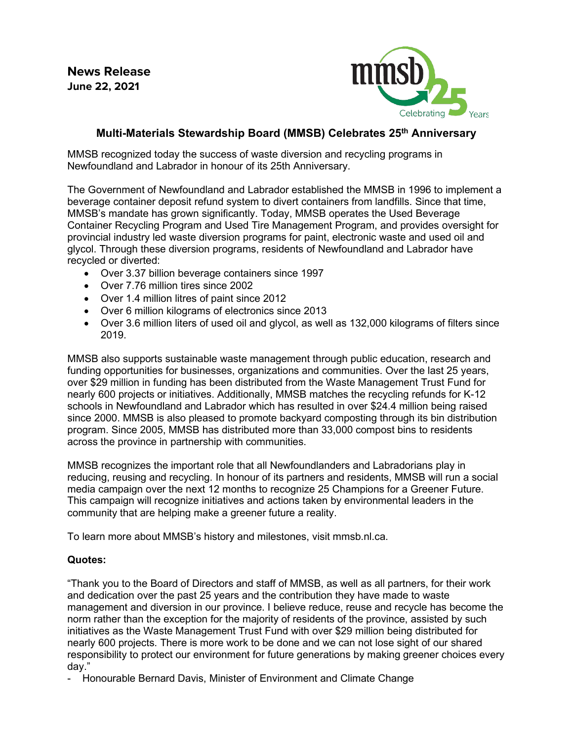**News Release June 22, 2021**



## **Multi-Materials Stewardship Board (MMSB) Celebrates 25th Anniversary**

MMSB recognized today the success of waste diversion and recycling programs in Newfoundland and Labrador in honour of its 25th Anniversary.

The Government of Newfoundland and Labrador established the MMSB in 1996 to implement a beverage container deposit refund system to divert containers from landfills. Since that time, MMSB's mandate has grown significantly. Today, MMSB operates the Used Beverage Container Recycling Program and Used Tire Management Program, and provides oversight for provincial industry led waste diversion programs for paint, electronic waste and used oil and glycol. Through these diversion programs, residents of Newfoundland and Labrador have recycled or diverted:

- Over 3.37 billion beverage containers since 1997
- Over 7.76 million tires since 2002
- Over 1.4 million litres of paint since 2012
- Over 6 million kilograms of electronics since 2013
- Over 3.6 million liters of used oil and glycol, as well as 132,000 kilograms of filters since 2019.

MMSB also supports sustainable waste management through public education, research and funding opportunities for businesses, organizations and communities. Over the last 25 years, over \$29 million in funding has been distributed from the Waste Management Trust Fund for nearly 600 projects or initiatives. Additionally, MMSB matches the recycling refunds for K-12 schools in Newfoundland and Labrador which has resulted in over \$24.4 million being raised since 2000. MMSB is also pleased to promote backyard composting through its bin distribution program. Since 2005, MMSB has distributed more than 33,000 compost bins to residents across the province in partnership with communities.

MMSB recognizes the important role that all Newfoundlanders and Labradorians play in reducing, reusing and recycling. In honour of its partners and residents, MMSB will run a social media campaign over the next 12 months to recognize 25 Champions for a Greener Future. This campaign will recognize initiatives and actions taken by environmental leaders in the community that are helping make a greener future a reality.

To learn more about MMSB's history and milestones, visit mmsb.nl.ca.

## **Quotes:**

"Thank you to the Board of Directors and staff of MMSB, as well as all partners, for their work and dedication over the past 25 years and the contribution they have made to waste management and diversion in our province. I believe reduce, reuse and recycle has become the norm rather than the exception for the majority of residents of the province, assisted by such initiatives as the Waste Management Trust Fund with over \$29 million being distributed for nearly 600 projects. There is more work to be done and we can not lose sight of our shared responsibility to protect our environment for future generations by making greener choices every day."

- Honourable Bernard Davis, Minister of Environment and Climate Change